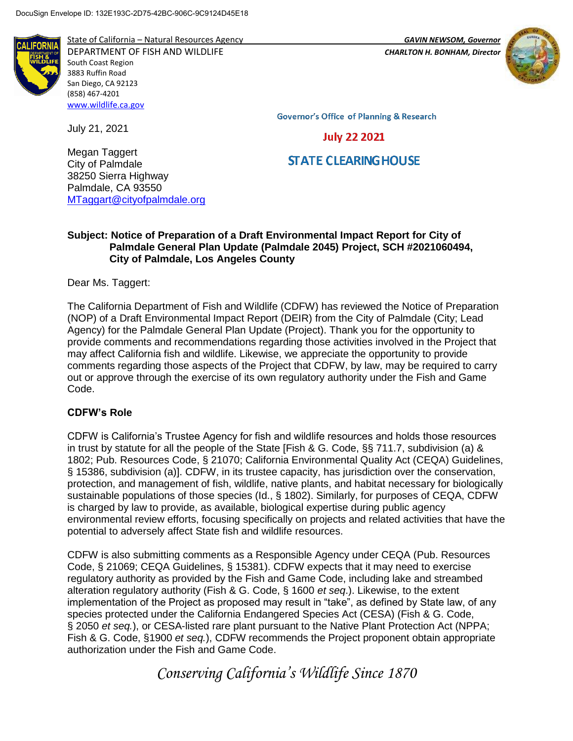

State of California – Natural Resources Agency *GAVIN NEWSOM, Governor*

DEPARTMENT OF FISH AND WILDLIFE *CHARLTON H. BONHAM, Director*  South Coast Region 3883 Ruffin Road San Diego, CA 92123 (858) 467-4201 [www.wildlife.ca.gov](http://www.wildlife.ca.gov/)



**Governor's Office of Planning & Research** 

# **July 22 2021**

# **STATE CLEARING HOUSE**

Megan Taggert City of Palmdale 38250 Sierra Highway Palmdale, CA 93550 [MTaggart@cityofpalmdale.org](mailto:MTaggart@cityofpalmdale.org)

# **Subject: Notice of Preparation of a Draft Environmental Impact Report for City of Palmdale General Plan Update (Palmdale 2045) Project, SCH #2021060494, City of Palmdale, Los Angeles County**

Dear Ms. Taggert:

July 21, 2021

The California Department of Fish and Wildlife (CDFW) has reviewed the Notice of Preparation (NOP) of a Draft Environmental Impact Report (DEIR) from the City of Palmdale (City; Lead Agency) for the Palmdale General Plan Update (Project). Thank you for the opportunity to provide comments and recommendations regarding those activities involved in the Project that may affect California fish and wildlife. Likewise, we appreciate the opportunity to provide comments regarding those aspects of the Project that CDFW, by law, may be required to carry out or approve through the exercise of its own regulatory authority under the Fish and Game Code.

# **CDFW's Role**

CDFW is California's Trustee Agency for fish and wildlife resources and holds those resources in trust by statute for all the people of the State [Fish & G. Code, §§ 711.7, subdivision (a) & 1802; Pub. Resources Code, § 21070; California Environmental Quality Act (CEQA) Guidelines, § 15386, subdivision (a)]. CDFW, in its trustee capacity, has jurisdiction over the conservation, protection, and management of fish, wildlife, native plants, and habitat necessary for biologically sustainable populations of those species (Id., § 1802). Similarly, for purposes of CEQA, CDFW is charged by law to provide, as available, biological expertise during public agency environmental review efforts, focusing specifically on projects and related activities that have the potential to adversely affect State fish and wildlife resources.

CDFW is also submitting comments as a Responsible Agency under CEQA (Pub. Resources Code, § 21069; CEQA Guidelines, § 15381). CDFW expects that it may need to exercise regulatory authority as provided by the Fish and Game Code, including lake and streambed alteration regulatory authority (Fish & G. Code, § 1600 *et seq*.). Likewise, to the extent implementation of the Project as proposed may result in "take", as defined by State law, of any species protected under the California Endangered Species Act (CESA) (Fish & G. Code, § 2050 *et seq.*), or CESA-listed rare plant pursuant to the Native Plant Protection Act (NPPA; Fish & G. Code, §1900 *et seq.*), CDFW recommends the Project proponent obtain appropriate authorization under the Fish and Game Code.

*Conserving California's Wildlife Since 1870*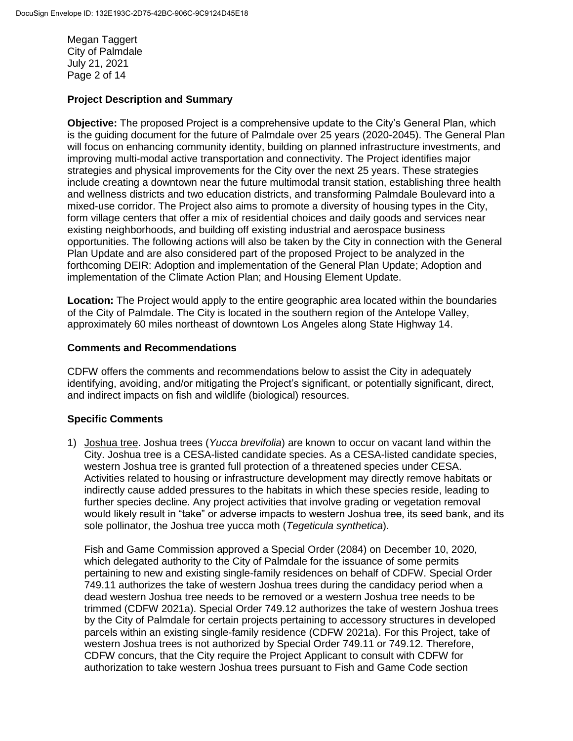Megan Taggert City of Palmdale July 21, 2021 Page 2 of 14

# **Project Description and Summary**

**Objective:** The proposed Project is a comprehensive update to the City's General Plan, which is the guiding document for the future of Palmdale over 25 years (2020-2045). The General Plan will focus on enhancing community identity, building on planned infrastructure investments, and improving multi-modal active transportation and connectivity. The Project identifies major strategies and physical improvements for the City over the next 25 years. These strategies include creating a downtown near the future multimodal transit station, establishing three health and wellness districts and two education districts, and transforming Palmdale Boulevard into a mixed-use corridor. The Project also aims to promote a diversity of housing types in the City, form village centers that offer a mix of residential choices and daily goods and services near existing neighborhoods, and building off existing industrial and aerospace business opportunities. The following actions will also be taken by the City in connection with the General Plan Update and are also considered part of the proposed Project to be analyzed in the forthcoming DEIR: Adoption and implementation of the General Plan Update; Adoption and implementation of the Climate Action Plan; and Housing Element Update.

**Location:** The Project would apply to the entire geographic area located within the boundaries of the City of Palmdale. The City is located in the southern region of the Antelope Valley, approximately 60 miles northeast of downtown Los Angeles along State Highway 14.

#### **Comments and Recommendations**

CDFW offers the comments and recommendations below to assist the City in adequately identifying, avoiding, and/or mitigating the Project's significant, or potentially significant, direct, and indirect impacts on fish and wildlife (biological) resources.

# **Specific Comments**

1) Joshua tree. Joshua trees (*Yucca brevifolia*) are known to occur on vacant land within the City. Joshua tree is a CESA-listed candidate species. As a CESA-listed candidate species, western Joshua tree is granted full protection of a threatened species under CESA. Activities related to housing or infrastructure development may directly remove habitats or indirectly cause added pressures to the habitats in which these species reside, leading to further species decline. Any project activities that involve grading or vegetation removal would likely result in "take" or adverse impacts to western Joshua tree, its seed bank, and its sole pollinator, the Joshua tree yucca moth (*Tegeticula synthetica*).

Fish and Game Commission approved a Special Order (2084) on December 10, 2020, which delegated authority to the City of Palmdale for the issuance of some permits pertaining to new and existing single-family residences on behalf of CDFW. Special Order 749.11 authorizes the take of western Joshua trees during the candidacy period when a dead western Joshua tree needs to be removed or a western Joshua tree needs to be trimmed (CDFW 2021a). Special Order 749.12 authorizes the take of western Joshua trees by the City of Palmdale for certain projects pertaining to accessory structures in developed parcels within an existing single-family residence (CDFW 2021a). For this Project, take of western Joshua trees is not authorized by Special Order 749.11 or 749.12. Therefore, CDFW concurs, that the City require the Project Applicant to consult with CDFW for authorization to take western Joshua trees pursuant to Fish and Game Code section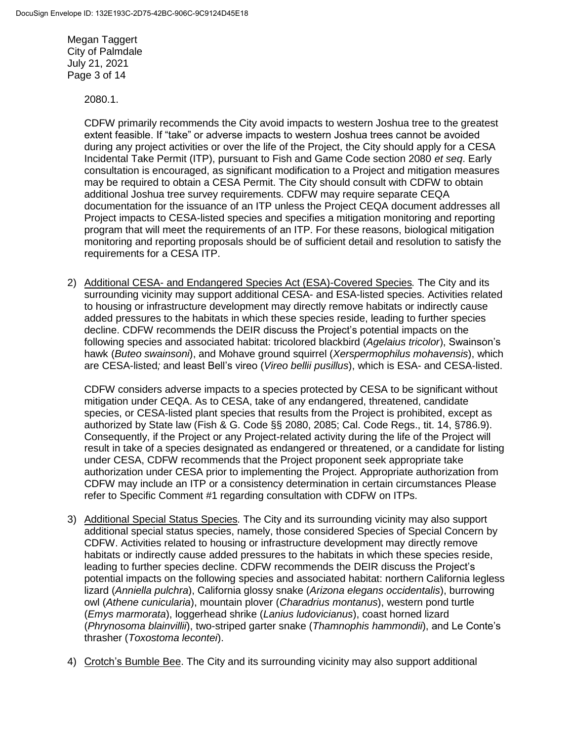Megan Taggert City of Palmdale July 21, 2021 Page 3 of 14

2080.1.

CDFW primarily recommends the City avoid impacts to western Joshua tree to the greatest extent feasible. If "take" or adverse impacts to western Joshua trees cannot be avoided during any project activities or over the life of the Project, the City should apply for a CESA Incidental Take Permit (ITP), pursuant to Fish and Game Code section 2080 *et seq*. Early consultation is encouraged, as significant modification to a Project and mitigation measures may be required to obtain a CESA Permit. The City should consult with CDFW to obtain additional Joshua tree survey requirements. CDFW may require separate CEQA documentation for the issuance of an ITP unless the Project CEQA document addresses all Project impacts to CESA-listed species and specifies a mitigation monitoring and reporting program that will meet the requirements of an ITP. For these reasons, biological mitigation monitoring and reporting proposals should be of sufficient detail and resolution to satisfy the requirements for a CESA ITP.

2) Additional CESA- and Endangered Species Act (ESA)-Covered Species*.* The City and its surrounding vicinity may support additional CESA- and ESA-listed species. Activities related to housing or infrastructure development may directly remove habitats or indirectly cause added pressures to the habitats in which these species reside, leading to further species decline. CDFW recommends the DEIR discuss the Project's potential impacts on the following species and associated habitat: tricolored blackbird (*Agelaius tricolor*), Swainson's hawk (*Buteo swainsoni*), and Mohave ground squirrel (*Xerspermophilus mohavensis*), which are CESA-listed*;* and least Bell's vireo (*Vireo bellii pusillus*), which is ESA- and CESA-listed.

CDFW considers adverse impacts to a species protected by CESA to be significant without mitigation under CEQA. As to CESA, take of any endangered, threatened, candidate species, or CESA-listed plant species that results from the Project is prohibited, except as authorized by State law (Fish & G. Code §§ 2080, 2085; Cal. Code Regs., tit. 14, §786.9). Consequently, if the Project or any Project-related activity during the life of the Project will result in take of a species designated as endangered or threatened, or a candidate for listing under CESA, CDFW recommends that the Project proponent seek appropriate take authorization under CESA prior to implementing the Project. Appropriate authorization from CDFW may include an ITP or a consistency determination in certain circumstances Please refer to Specific Comment #1 regarding consultation with CDFW on ITPs.

- 3) Additional Special Status Species*.* The City and its surrounding vicinity may also support additional special status species, namely, those considered Species of Special Concern by CDFW. Activities related to housing or infrastructure development may directly remove habitats or indirectly cause added pressures to the habitats in which these species reside, leading to further species decline. CDFW recommends the DEIR discuss the Project's potential impacts on the following species and associated habitat: northern California legless lizard (*Anniella pulchra*), California glossy snake (*Arizona elegans occidentalis*), burrowing owl (*Athene cunicularia*), mountain plover (*Charadrius montanus*), western pond turtle (*Emys marmorata*), loggerhead shrike (*Lanius ludovicianus*), coast horned lizard (*Phrynosoma blainvillii*), two-striped garter snake (*Thamnophis hammondii*), and Le Conte's thrasher (*Toxostoma lecontei*).
- 4) Crotch's Bumble Bee. The City and its surrounding vicinity may also support additional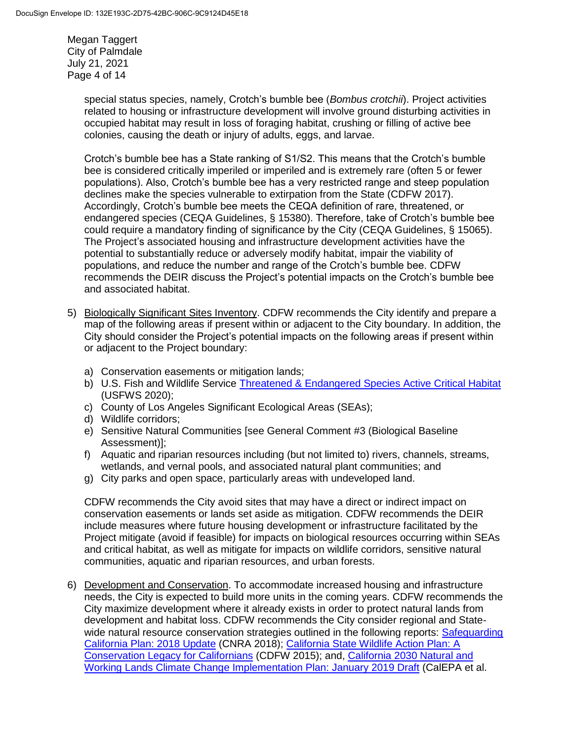Megan Taggert City of Palmdale July 21, 2021 Page 4 of 14

> special status species, namely, Crotch's bumble bee (*Bombus crotchii*). Project activities related to housing or infrastructure development will involve ground disturbing activities in occupied habitat may result in loss of foraging habitat, crushing or filling of active bee colonies, causing the death or injury of adults, eggs, and larvae.

Crotch's bumble bee has a State ranking of S1/S2. This means that the Crotch's bumble bee is considered critically imperiled or imperiled and is extremely rare (often 5 or fewer populations). Also, Crotch's bumble bee has a very restricted range and steep population declines make the species vulnerable to extirpation from the State (CDFW 2017). Accordingly, Crotch's bumble bee meets the CEQA definition of rare, threatened, or endangered species (CEQA Guidelines, § 15380). Therefore, take of Crotch's bumble bee could require a mandatory finding of significance by the City (CEQA Guidelines, § 15065). The Project's associated housing and infrastructure development activities have the potential to substantially reduce or adversely modify habitat, impair the viability of populations, and reduce the number and range of the Crotch's bumble bee. CDFW recommends the DEIR discuss the Project's potential impacts on the Crotch's bumble bee and associated habitat.

- 5) Biologically Significant Sites Inventory. CDFW recommends the City identify and prepare a map of the following areas if present within or adjacent to the City boundary. In addition, the City should consider the Project's potential impacts on the following areas if present within or adjacent to the Project boundary:
	- a) Conservation easements or mitigation lands;
	- b) U.S. Fish and Wildlife Service [Threatened & Endangered Species Active Critical Habitat](https://ecos.fws.gov/ecp/report/table/critical-habitat.html) (USFWS 2020);
	- c) County of Los Angeles Significant Ecological Areas (SEAs);
	- d) Wildlife corridors;
	- e) Sensitive Natural Communities [see General Comment #3 (Biological Baseline Assessment)];
	- f) Aquatic and riparian resources including (but not limited to) rivers, channels, streams, wetlands, and vernal pools, and associated natural plant communities; and
	- g) City parks and open space, particularly areas with undeveloped land.

CDFW recommends the City avoid sites that may have a direct or indirect impact on conservation easements or lands set aside as mitigation. CDFW recommends the DEIR include measures where future housing development or infrastructure facilitated by the Project mitigate (avoid if feasible) for impacts on biological resources occurring within SEAs and critical habitat, as well as mitigate for impacts on wildlife corridors, sensitive natural communities, aquatic and riparian resources, and urban forests.

6) Development and Conservation. To accommodate increased housing and infrastructure needs, the City is expected to build more units in the coming years. CDFW recommends the City maximize development where it already exists in order to protect natural lands from development and habitat loss. CDFW recommends the City consider regional and Statewide natural resource conservation strategies outlined in the following reports: Safeguarding [California Plan: 2018](https://files.resources.ca.gov/climate/safeguarding/) Update (CNRA 2018); [California State Wildlife Action Plan: A](https://wildlife.ca.gov/SWAP/Final)  [Conservation Legacy for](https://wildlife.ca.gov/SWAP/Final) Californians (CDFW 2015); and, [California 2030 Natural and](https://ww2.arb.ca.gov/resources/documents/nwl-implementation-draft)  Working Lands Climate [Change Implementation Plan: January 2019 Draft](https://ww2.arb.ca.gov/resources/documents/nwl-implementation-draft) (CalEPA et al.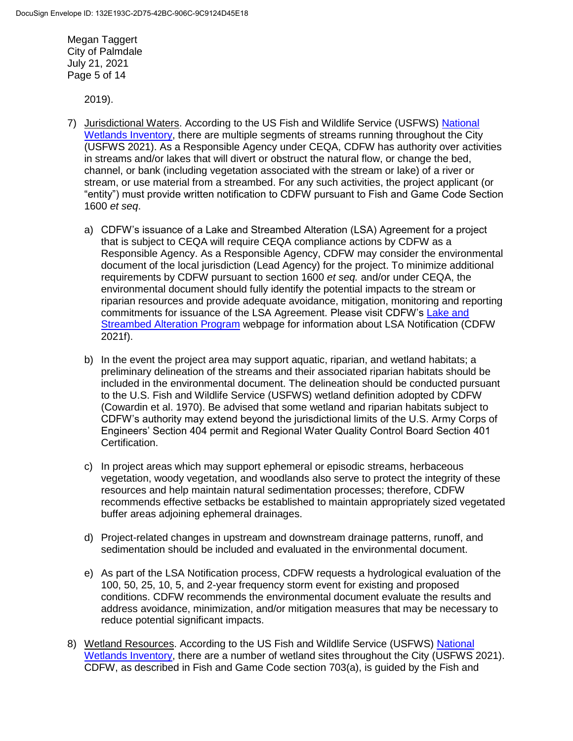Megan Taggert City of Palmdale July 21, 2021 Page 5 of 14

2019).

- 7) Jurisdictional Waters. According to the US Fish and Wildlife Service (USFWS) [National](https://www.fws.gov/wetlands/data/mapper.html)  [Wetlands Inventory,](https://www.fws.gov/wetlands/data/mapper.html) there are multiple segments of streams running throughout the City (USFWS 2021). As a Responsible Agency under CEQA, CDFW has authority over activities in streams and/or lakes that will divert or obstruct the natural flow, or change the bed, channel, or bank (including vegetation associated with the stream or lake) of a river or stream, or use material from a streambed. For any such activities, the project applicant (or "entity") must provide written notification to CDFW pursuant to Fish and Game Code Section 1600 *et seq*.
	- a) CDFW's issuance of a Lake and Streambed Alteration (LSA) Agreement for a project that is subject to CEQA will require CEQA compliance actions by CDFW as a Responsible Agency. As a Responsible Agency, CDFW may consider the environmental document of the local jurisdiction (Lead Agency) for the project. To minimize additional requirements by CDFW pursuant to section 1600 *et seq.* and/or under CEQA, the environmental document should fully identify the potential impacts to the stream or riparian resources and provide adequate avoidance, mitigation, monitoring and reporting commitments for issuance of the LSA Agreement. Please visit CDFW's [Lake and](https://wildlife.ca.gov/Conservation/LSA)  [Streambed Alteration Program](https://wildlife.ca.gov/Conservation/LSA) webpage for information about LSA Notification (CDFW 2021f).
	- b) In the event the project area may support aquatic, riparian, and wetland habitats; a preliminary delineation of the streams and their associated riparian habitats should be included in the environmental document. The delineation should be conducted pursuant to the U.S. Fish and Wildlife Service (USFWS) wetland definition adopted by CDFW (Cowardin et al. 1970). Be advised that some wetland and riparian habitats subject to CDFW's authority may extend beyond the jurisdictional limits of the U.S. Army Corps of Engineers' Section 404 permit and Regional Water Quality Control Board Section 401 Certification.
	- c) In project areas which may support ephemeral or episodic streams, herbaceous vegetation, woody vegetation, and woodlands also serve to protect the integrity of these resources and help maintain natural sedimentation processes; therefore, CDFW recommends effective setbacks be established to maintain appropriately sized vegetated buffer areas adjoining ephemeral drainages.
	- d) Project-related changes in upstream and downstream drainage patterns, runoff, and sedimentation should be included and evaluated in the environmental document.
	- e) As part of the LSA Notification process, CDFW requests a hydrological evaluation of the 100, 50, 25, 10, 5, and 2-year frequency storm event for existing and proposed conditions. CDFW recommends the environmental document evaluate the results and address avoidance, minimization, and/or mitigation measures that may be necessary to reduce potential significant impacts.
- 8) Wetland Resources. According to the US Fish and Wildlife Service (USFWS) [National](https://www.fws.gov/wetlands/data/mapper.html)  [Wetlands Inventory,](https://www.fws.gov/wetlands/data/mapper.html) there are a number of wetland sites throughout the City (USFWS 2021). CDFW, as described in Fish and Game Code section 703(a), is guided by the Fish and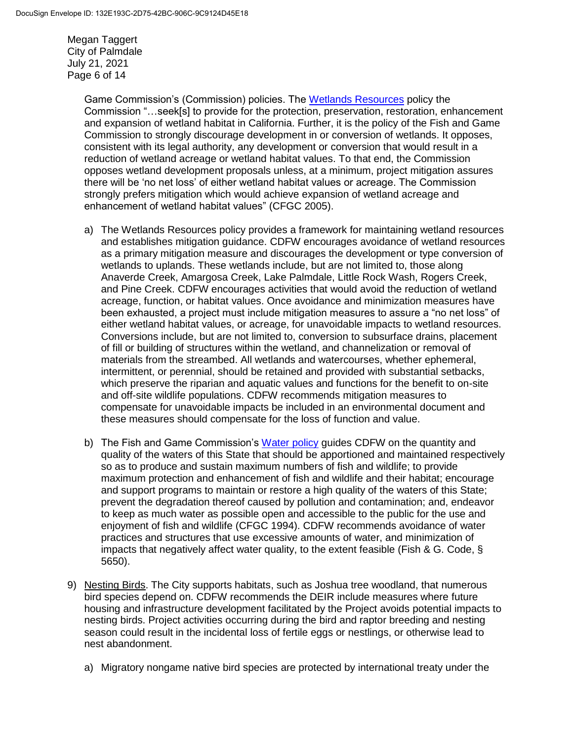Megan Taggert City of Palmdale July 21, 2021 Page 6 of 14

> Game Commission's (Commission) policies. The [Wetlands Resources](https://fgc.ca.gov/About/Policies/Miscellaneous) policy the Commission "…seek[s] to provide for the protection, preservation, restoration, enhancement and expansion of wetland habitat in California. Further, it is the policy of the Fish and Game Commission to strongly discourage development in or conversion of wetlands. It opposes, consistent with its legal authority, any development or conversion that would result in a reduction of wetland acreage or wetland habitat values. To that end, the Commission opposes wetland development proposals unless, at a minimum, project mitigation assures there will be 'no net loss' of either wetland habitat values or acreage. The Commission strongly prefers mitigation which would achieve expansion of wetland acreage and enhancement of wetland habitat values" (CFGC 2005).

- a) The Wetlands Resources policy provides a framework for maintaining wetland resources and establishes mitigation guidance. CDFW encourages avoidance of wetland resources as a primary mitigation measure and discourages the development or type conversion of wetlands to uplands. These wetlands include, but are not limited to, those along Anaverde Creek, Amargosa Creek, Lake Palmdale, Little Rock Wash, Rogers Creek, and Pine Creek. CDFW encourages activities that would avoid the reduction of wetland acreage, function, or habitat values. Once avoidance and minimization measures have been exhausted, a project must include mitigation measures to assure a "no net loss" of either wetland habitat values, or acreage, for unavoidable impacts to wetland resources. Conversions include, but are not limited to, conversion to subsurface drains, placement of fill or building of structures within the wetland, and channelization or removal of materials from the streambed. All wetlands and watercourses, whether ephemeral, intermittent, or perennial, should be retained and provided with substantial setbacks, which preserve the riparian and aquatic values and functions for the benefit to on-site and off-site wildlife populations. CDFW recommends mitigation measures to compensate for unavoidable impacts be included in an environmental document and these measures should compensate for the loss of function and value.
- b) The Fish and Game Commission's [Water policy](https://fgc.ca.gov/About/Policies/Miscellaneous#Water) guides CDFW on the quantity and quality of the waters of this State that should be apportioned and maintained respectively so as to produce and sustain maximum numbers of fish and wildlife; to provide maximum protection and enhancement of fish and wildlife and their habitat; encourage and support programs to maintain or restore a high quality of the waters of this State; prevent the degradation thereof caused by pollution and contamination; and, endeavor to keep as much water as possible open and accessible to the public for the use and enjoyment of fish and wildlife (CFGC 1994). CDFW recommends avoidance of water practices and structures that use excessive amounts of water, and minimization of impacts that negatively affect water quality, to the extent feasible (Fish & G. Code,  $\S$ ) 5650).
- 9) Nesting Birds. The City supports habitats, such as Joshua tree woodland, that numerous bird species depend on. CDFW recommends the DEIR include measures where future housing and infrastructure development facilitated by the Project avoids potential impacts to nesting birds. Project activities occurring during the bird and raptor breeding and nesting season could result in the incidental loss of fertile eggs or nestlings, or otherwise lead to nest abandonment.
	- a) Migratory nongame native bird species are protected by international treaty under the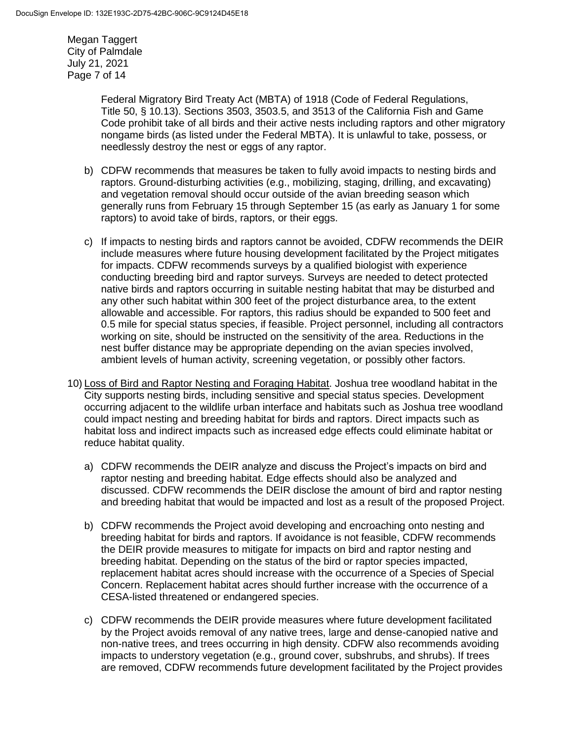Megan Taggert City of Palmdale July 21, 2021 Page 7 of 14

> Federal Migratory Bird Treaty Act (MBTA) of 1918 (Code of Federal Regulations, Title 50, § 10.13). Sections 3503, 3503.5, and 3513 of the California Fish and Game Code prohibit take of all birds and their active nests including raptors and other migratory nongame birds (as listed under the Federal MBTA). It is unlawful to take, possess, or needlessly destroy the nest or eggs of any raptor.

- b) CDFW recommends that measures be taken to fully avoid impacts to nesting birds and raptors. Ground-disturbing activities (e.g., mobilizing, staging, drilling, and excavating) and vegetation removal should occur outside of the avian breeding season which generally runs from February 15 through September 15 (as early as January 1 for some raptors) to avoid take of birds, raptors, or their eggs.
- c) If impacts to nesting birds and raptors cannot be avoided, CDFW recommends the DEIR include measures where future housing development facilitated by the Project mitigates for impacts. CDFW recommends surveys by a qualified biologist with experience conducting breeding bird and raptor surveys. Surveys are needed to detect protected native birds and raptors occurring in suitable nesting habitat that may be disturbed and any other such habitat within 300 feet of the project disturbance area, to the extent allowable and accessible. For raptors, this radius should be expanded to 500 feet and 0.5 mile for special status species, if feasible. Project personnel, including all contractors working on site, should be instructed on the sensitivity of the area. Reductions in the nest buffer distance may be appropriate depending on the avian species involved, ambient levels of human activity, screening vegetation, or possibly other factors.
- 10) Loss of Bird and Raptor Nesting and Foraging Habitat. Joshua tree woodland habitat in the City supports nesting birds, including sensitive and special status species. Development occurring adjacent to the wildlife urban interface and habitats such as Joshua tree woodland could impact nesting and breeding habitat for birds and raptors. Direct impacts such as habitat loss and indirect impacts such as increased edge effects could eliminate habitat or reduce habitat quality.
	- a) CDFW recommends the DEIR analyze and discuss the Project's impacts on bird and raptor nesting and breeding habitat. Edge effects should also be analyzed and discussed. CDFW recommends the DEIR disclose the amount of bird and raptor nesting and breeding habitat that would be impacted and lost as a result of the proposed Project.
	- b) CDFW recommends the Project avoid developing and encroaching onto nesting and breeding habitat for birds and raptors. If avoidance is not feasible, CDFW recommends the DEIR provide measures to mitigate for impacts on bird and raptor nesting and breeding habitat. Depending on the status of the bird or raptor species impacted, replacement habitat acres should increase with the occurrence of a Species of Special Concern. Replacement habitat acres should further increase with the occurrence of a CESA-listed threatened or endangered species.
	- c) CDFW recommends the DEIR provide measures where future development facilitated by the Project avoids removal of any native trees, large and dense-canopied native and non-native trees, and trees occurring in high density. CDFW also recommends avoiding impacts to understory vegetation (e.g., ground cover, subshrubs, and shrubs). If trees are removed, CDFW recommends future development facilitated by the Project provides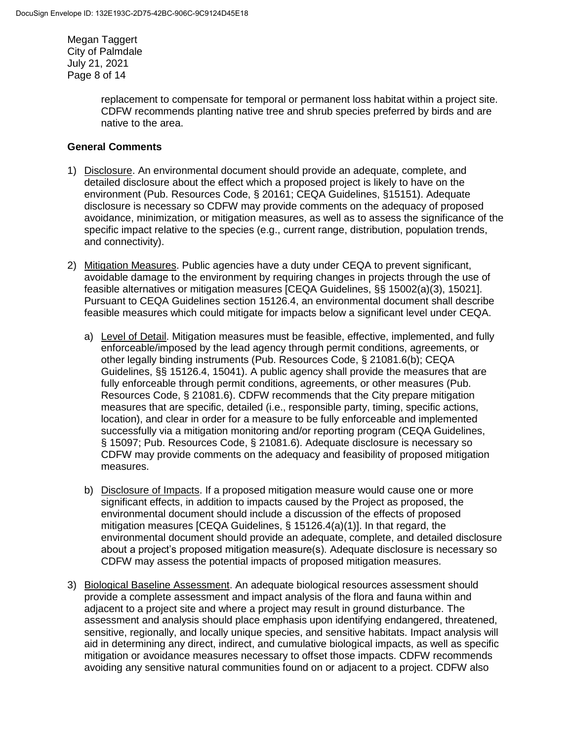Megan Taggert City of Palmdale July 21, 2021 Page 8 of 14

> replacement to compensate for temporal or permanent loss habitat within a project site. CDFW recommends planting native tree and shrub species preferred by birds and are native to the area.

# **General Comments**

- 1) Disclosure. An environmental document should provide an adequate, complete, and detailed disclosure about the effect which a proposed project is likely to have on the environment (Pub. Resources Code, § 20161; CEQA Guidelines, §15151). Adequate disclosure is necessary so CDFW may provide comments on the adequacy of proposed avoidance, minimization, or mitigation measures, as well as to assess the significance of the specific impact relative to the species (e.g., current range, distribution, population trends, and connectivity).
- 2) Mitigation Measures. Public agencies have a duty under CEQA to prevent significant, avoidable damage to the environment by requiring changes in projects through the use of feasible alternatives or mitigation measures [CEQA Guidelines, §§ 15002(a)(3), 15021]. Pursuant to CEQA Guidelines section 15126.4, an environmental document shall describe feasible measures which could mitigate for impacts below a significant level under CEQA.
	- a) Level of Detail. Mitigation measures must be feasible, effective, implemented, and fully enforceable/imposed by the lead agency through permit conditions, agreements, or other legally binding instruments (Pub. Resources Code, § 21081.6(b); CEQA Guidelines, §§ 15126.4, 15041). A public agency shall provide the measures that are fully enforceable through permit conditions, agreements, or other measures (Pub. Resources Code, § 21081.6). CDFW recommends that the City prepare mitigation measures that are specific, detailed (i.e., responsible party, timing, specific actions, location), and clear in order for a measure to be fully enforceable and implemented successfully via a mitigation monitoring and/or reporting program (CEQA Guidelines, § 15097; Pub. Resources Code, § 21081.6). Adequate disclosure is necessary so CDFW may provide comments on the adequacy and feasibility of proposed mitigation measures.
	- b) Disclosure of Impacts. If a proposed mitigation measure would cause one or more significant effects, in addition to impacts caused by the Project as proposed, the environmental document should include a discussion of the effects of proposed mitigation measures [CEQA Guidelines, § 15126.4(a)(1)]. In that regard, the environmental document should provide an adequate, complete, and detailed disclosure about a project's proposed mitigation measure(s). Adequate disclosure is necessary so CDFW may assess the potential impacts of proposed mitigation measures.
- 3) Biological Baseline Assessment. An adequate biological resources assessment should provide a complete assessment and impact analysis of the flora and fauna within and adjacent to a project site and where a project may result in ground disturbance. The assessment and analysis should place emphasis upon identifying endangered, threatened, sensitive, regionally, and locally unique species, and sensitive habitats. Impact analysis will aid in determining any direct, indirect, and cumulative biological impacts, as well as specific mitigation or avoidance measures necessary to offset those impacts. CDFW recommends avoiding any sensitive natural communities found on or adjacent to a project. CDFW also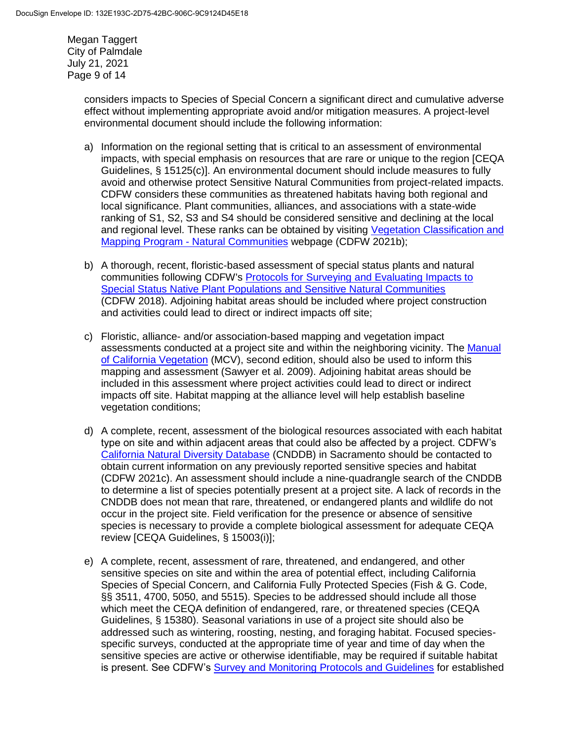Megan Taggert City of Palmdale July 21, 2021 Page 9 of 14

> considers impacts to Species of Special Concern a significant direct and cumulative adverse effect without implementing appropriate avoid and/or mitigation measures. A project-level environmental document should include the following information:

- a) Information on the regional setting that is critical to an assessment of environmental impacts, with special emphasis on resources that are rare or unique to the region [CEQA Guidelines, § 15125(c)]. An environmental document should include measures to fully avoid and otherwise protect Sensitive Natural Communities from project-related impacts. CDFW considers these communities as threatened habitats having both regional and local significance. Plant communities, alliances, and associations with a state-wide ranking of S1, S2, S3 and S4 should be considered sensitive and declining at the local and regional level. These ranks can be obtained by visiting [Vegetation Classification and](https://wildlife.ca.gov/Data/VegCAMP/Natural-Communities)  Mapping Program - [Natural Communities](https://wildlife.ca.gov/Data/VegCAMP/Natural-Communities) webpage (CDFW 2021b);
- b) A thorough, recent, floristic-based assessment of special status plants and natural communities following CDFW's [Protocols for Surveying and Evaluating Impacts to](https://nrm.dfg.ca.gov/FileHandler.ashx?DocumentID=18959&inline)  [Special Status Native Plant Populations and Sensitive Natural Communities](https://nrm.dfg.ca.gov/FileHandler.ashx?DocumentID=18959&inline) (CDFW 2018). Adjoining habitat areas should be included where project construction and activities could lead to direct or indirect impacts off site;
- c) Floristic, alliance- and/or association-based mapping and vegetation impact assessments conducted at a project site and within the neighboring vicinity. The [Manual](http://vegetation.cnps.org/)  [of California Vegetation](http://vegetation.cnps.org/) (MCV), second edition, should also be used to inform this mapping and assessment (Sawyer et al. 2009). Adjoining habitat areas should be included in this assessment where project activities could lead to direct or indirect impacts off site. Habitat mapping at the alliance level will help establish baseline vegetation conditions;
- d) A complete, recent, assessment of the biological resources associated with each habitat type on site and within adjacent areas that could also be affected by a project. CDFW's [California Natural Diversity Database](https://wildlife.ca.gov/Data/CNDDB) (CNDDB) in Sacramento should be contacted to obtain current information on any previously reported sensitive species and habitat (CDFW 2021c). An assessment should include a nine-quadrangle search of the CNDDB to determine a list of species potentially present at a project site. A lack of records in the CNDDB does not mean that rare, threatened, or endangered plants and wildlife do not occur in the project site. Field verification for the presence or absence of sensitive species is necessary to provide a complete biological assessment for adequate CEQA review [CEQA Guidelines, § 15003(i)];
- e) A complete, recent, assessment of rare, threatened, and endangered, and other sensitive species on site and within the area of potential effect, including California Species of Special Concern, and California Fully Protected Species (Fish & G. Code, §§ 3511, 4700, 5050, and 5515). Species to be addressed should include all those which meet the CEQA definition of endangered, rare, or threatened species (CEQA Guidelines, § 15380). Seasonal variations in use of a project site should also be addressed such as wintering, roosting, nesting, and foraging habitat. Focused speciesspecific surveys, conducted at the appropriate time of year and time of day when the sensitive species are active or otherwise identifiable, may be required if suitable habitat is present. See CDFW's [Survey and Monitoring Protocols and Guidelines](https://wildlife.ca.gov/conservation/survey-protocols) for established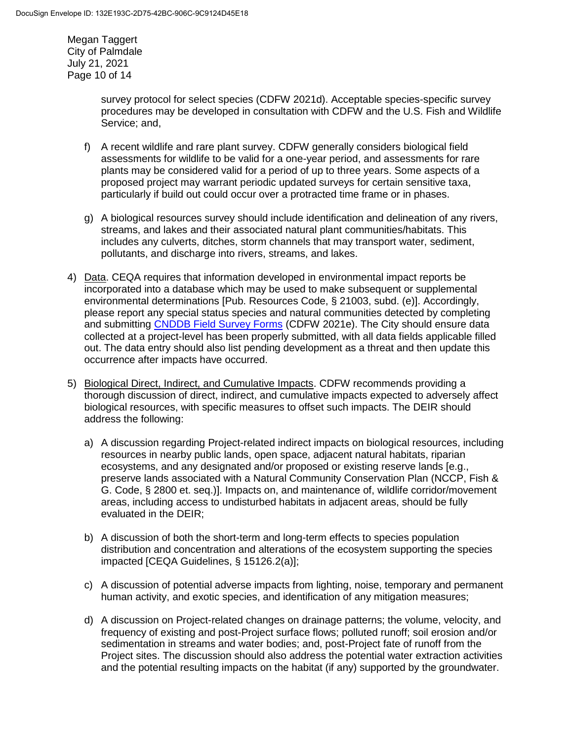Megan Taggert City of Palmdale July 21, 2021 Page 10 of 14

> survey protocol for select species (CDFW 2021d). Acceptable species-specific survey procedures may be developed in consultation with CDFW and the U.S. Fish and Wildlife Service; and,

- f) A recent wildlife and rare plant survey. CDFW generally considers biological field assessments for wildlife to be valid for a one-year period, and assessments for rare plants may be considered valid for a period of up to three years. Some aspects of a proposed project may warrant periodic updated surveys for certain sensitive taxa, particularly if build out could occur over a protracted time frame or in phases.
- g) A biological resources survey should include identification and delineation of any rivers, streams, and lakes and their associated natural plant communities/habitats. This includes any culverts, ditches, storm channels that may transport water, sediment, pollutants, and discharge into rivers, streams, and lakes.
- 4) Data. CEQA requires that information developed in environmental impact reports be incorporated into a database which may be used to make subsequent or supplemental environmental determinations [Pub. Resources Code, § 21003, subd. (e)]. Accordingly, please report any special status species and natural communities detected by completing and submitting [CNDDB Field Survey Forms](https://wildlife.ca.gov/Data/CNDDB/Submitting-Data) (CDFW 2021e). The City should ensure data collected at a project-level has been properly submitted, with all data fields applicable filled out. The data entry should also list pending development as a threat and then update this occurrence after impacts have occurred.
- 5) Biological Direct, Indirect, and Cumulative Impacts. CDFW recommends providing a thorough discussion of direct, indirect, and cumulative impacts expected to adversely affect biological resources, with specific measures to offset such impacts. The DEIR should address the following:
	- a) A discussion regarding Project-related indirect impacts on biological resources, including resources in nearby public lands, open space, adjacent natural habitats, riparian ecosystems, and any designated and/or proposed or existing reserve lands [e.g., preserve lands associated with a Natural Community Conservation Plan (NCCP, Fish & G. Code, § 2800 et. seq.)]. Impacts on, and maintenance of, wildlife corridor/movement areas, including access to undisturbed habitats in adjacent areas, should be fully evaluated in the DEIR;
	- b) A discussion of both the short-term and long-term effects to species population distribution and concentration and alterations of the ecosystem supporting the species impacted [CEQA Guidelines, § 15126.2(a)];
	- c) A discussion of potential adverse impacts from lighting, noise, temporary and permanent human activity, and exotic species, and identification of any mitigation measures;
	- d) A discussion on Project-related changes on drainage patterns; the volume, velocity, and frequency of existing and post-Project surface flows; polluted runoff; soil erosion and/or sedimentation in streams and water bodies; and, post-Project fate of runoff from the Project sites. The discussion should also address the potential water extraction activities and the potential resulting impacts on the habitat (if any) supported by the groundwater.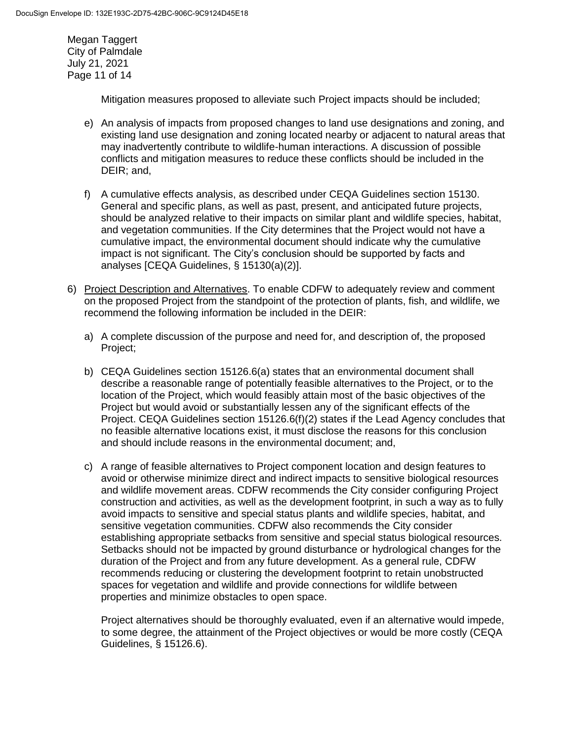Megan Taggert City of Palmdale July 21, 2021 Page 11 of 14

Mitigation measures proposed to alleviate such Project impacts should be included;

- e) An analysis of impacts from proposed changes to land use designations and zoning, and existing land use designation and zoning located nearby or adjacent to natural areas that may inadvertently contribute to wildlife-human interactions. A discussion of possible conflicts and mitigation measures to reduce these conflicts should be included in the DEIR; and,
- f) A cumulative effects analysis, as described under CEQA Guidelines section 15130. General and specific plans, as well as past, present, and anticipated future projects, should be analyzed relative to their impacts on similar plant and wildlife species, habitat, and vegetation communities. If the City determines that the Project would not have a cumulative impact, the environmental document should indicate why the cumulative impact is not significant. The City's conclusion should be supported by facts and analyses [CEQA Guidelines, § 15130(a)(2)].
- 6) Project Description and Alternatives. To enable CDFW to adequately review and comment on the proposed Project from the standpoint of the protection of plants, fish, and wildlife, we recommend the following information be included in the DEIR:
	- a) A complete discussion of the purpose and need for, and description of, the proposed Project;
	- b) CEQA Guidelines section 15126.6(a) states that an environmental document shall describe a reasonable range of potentially feasible alternatives to the Project, or to the location of the Project, which would feasibly attain most of the basic objectives of the Project but would avoid or substantially lessen any of the significant effects of the Project. CEQA Guidelines section 15126.6(f)(2) states if the Lead Agency concludes that no feasible alternative locations exist, it must disclose the reasons for this conclusion and should include reasons in the environmental document; and,
	- c) A range of feasible alternatives to Project component location and design features to avoid or otherwise minimize direct and indirect impacts to sensitive biological resources and wildlife movement areas. CDFW recommends the City consider configuring Project construction and activities, as well as the development footprint, in such a way as to fully avoid impacts to sensitive and special status plants and wildlife species, habitat, and sensitive vegetation communities. CDFW also recommends the City consider establishing appropriate setbacks from sensitive and special status biological resources. Setbacks should not be impacted by ground disturbance or hydrological changes for the duration of the Project and from any future development. As a general rule, CDFW recommends reducing or clustering the development footprint to retain unobstructed spaces for vegetation and wildlife and provide connections for wildlife between properties and minimize obstacles to open space.

Project alternatives should be thoroughly evaluated, even if an alternative would impede, to some degree, the attainment of the Project objectives or would be more costly (CEQA Guidelines, § 15126.6).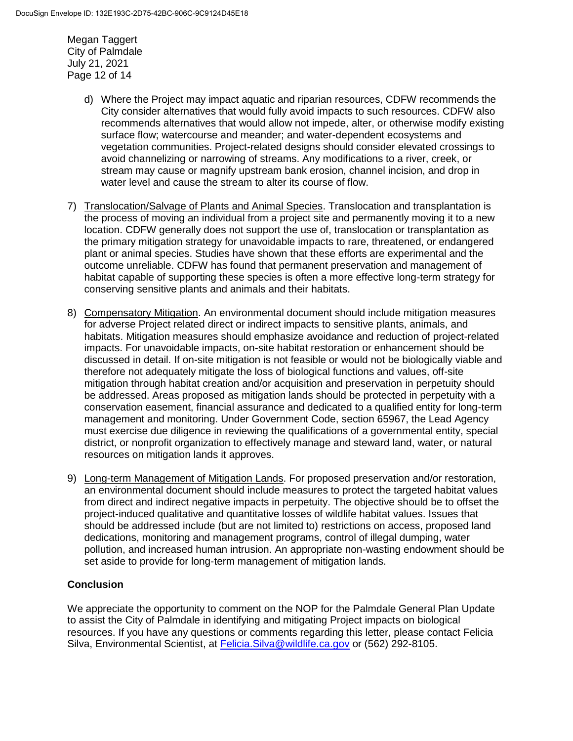Megan Taggert City of Palmdale July 21, 2021 Page 12 of 14

- d) Where the Project may impact aquatic and riparian resources, CDFW recommends the City consider alternatives that would fully avoid impacts to such resources. CDFW also recommends alternatives that would allow not impede, alter, or otherwise modify existing surface flow; watercourse and meander; and water-dependent ecosystems and vegetation communities. Project-related designs should consider elevated crossings to avoid channelizing or narrowing of streams. Any modifications to a river, creek, or stream may cause or magnify upstream bank erosion, channel incision, and drop in water level and cause the stream to alter its course of flow.
- 7) Translocation/Salvage of Plants and Animal Species. Translocation and transplantation is the process of moving an individual from a project site and permanently moving it to a new location. CDFW generally does not support the use of, translocation or transplantation as the primary mitigation strategy for unavoidable impacts to rare, threatened, or endangered plant or animal species. Studies have shown that these efforts are experimental and the outcome unreliable. CDFW has found that permanent preservation and management of habitat capable of supporting these species is often a more effective long-term strategy for conserving sensitive plants and animals and their habitats.
- 8) Compensatory Mitigation. An environmental document should include mitigation measures for adverse Project related direct or indirect impacts to sensitive plants, animals, and habitats. Mitigation measures should emphasize avoidance and reduction of project-related impacts. For unavoidable impacts, on-site habitat restoration or enhancement should be discussed in detail. If on-site mitigation is not feasible or would not be biologically viable and therefore not adequately mitigate the loss of biological functions and values, off-site mitigation through habitat creation and/or acquisition and preservation in perpetuity should be addressed. Areas proposed as mitigation lands should be protected in perpetuity with a conservation easement, financial assurance and dedicated to a qualified entity for long-term management and monitoring. Under Government Code, section 65967, the Lead Agency must exercise due diligence in reviewing the qualifications of a governmental entity, special district, or nonprofit organization to effectively manage and steward land, water, or natural resources on mitigation lands it approves.
- 9) Long-term Management of Mitigation Lands. For proposed preservation and/or restoration, an environmental document should include measures to protect the targeted habitat values from direct and indirect negative impacts in perpetuity. The objective should be to offset the project-induced qualitative and quantitative losses of wildlife habitat values. Issues that should be addressed include (but are not limited to) restrictions on access, proposed land dedications, monitoring and management programs, control of illegal dumping, water pollution, and increased human intrusion. An appropriate non-wasting endowment should be set aside to provide for long-term management of mitigation lands.

# **Conclusion**

We appreciate the opportunity to comment on the NOP for the Palmdale General Plan Update to assist the City of Palmdale in identifying and mitigating Project impacts on biological resources. If you have any questions or comments regarding this letter, please contact Felicia Silva, Environmental Scientist, at [Felicia.Silva@wildlife.ca.gov](mailto:Felicia.Silva@wildlife.ca.gov) or (562) 292-8105.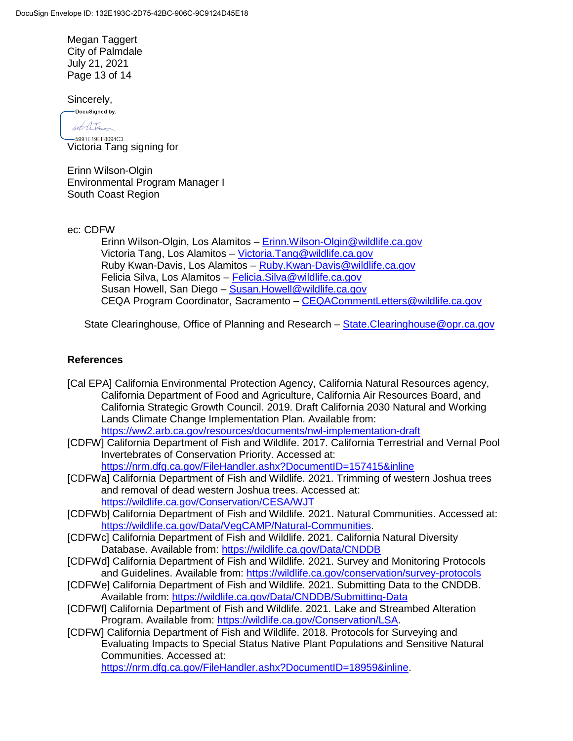Megan Taggert City of Palmdale July 21, 2021 Page 13 of 14

Sincerely,

DocuSigned by:

bot litr -5991E19EF8094C3...

Victoria Tang signing for

Erinn Wilson-Olgin Environmental Program Manager I South Coast Region

ec: CDFW

Erinn Wilson-Olgin, Los Alamitos - Erinn. Wilson-Olgin@wildlife.ca.gov Victoria Tang, Los Alamitos – [Victoria.Tang@wildlife.ca.gov](mailto:Victoria.Tang@wildlife.ca.gov) Ruby Kwan-Davis, Los Alamitos – [Ruby.Kwan-Davis@wildlife.ca.gov](mailto:Ruby.Kwan-Davis@wildlife.ca.gov) Felicia Silva, Los Alamitos - Felicia. Silva@wildlife.ca.gov Susan Howell, San Diego – [Susan.Howell@wildlife.ca.gov](mailto:Susan.Howell@wildlife.ca.gov) CEQA Program Coordinator, Sacramento – [CEQACommentLetters@wildlife.ca.gov](mailto:CEQACommentLetters@wildlife.ca.gov)

State Clearinghouse, Office of Planning and Research – State. Clearinghouse @opr.ca.gov

# **References**

- [Cal EPA] California Environmental Protection Agency, California Natural Resources agency, California Department of Food and Agriculture, California Air Resources Board, and California Strategic Growth Council. 2019. Draft California 2030 Natural and Working Lands Climate Change Implementation Plan. Available from: <https://ww2.arb.ca.gov/resources/documents/nwl-implementation-draft>
- [CDFW] California Department of Fish and Wildlife. 2017. California Terrestrial and Vernal Pool Invertebrates of Conservation Priority. Accessed at: <https://nrm.dfg.ca.gov/FileHandler.ashx?DocumentID=157415&inline>
- [CDFWa] California Department of Fish and Wildlife. 2021. Trimming of western Joshua trees and removal of dead western Joshua trees. Accessed at: <https://wildlife.ca.gov/Conservation/CESA/WJT>
- [CDFWb] California Department of Fish and Wildlife. 2021. Natural Communities. Accessed at: [https://wildlife.ca.gov/Data/VegCAMP/Natural-Communities.](https://wildlife.ca.gov/Data/VegCAMP/Natural-Communities)
- [CDFWc] California Department of Fish and Wildlife. 2021. California Natural Diversity Database. Available from: https://wildlife.ca.gov/Data/CNDDB
- [CDFWd] California Department of Fish and Wildlife. 2021. Survey and Monitoring Protocols and Guidelines. Available from: https://wildlife.ca.gov/conservation/survey-protocols
- [CDFWe] California Department of Fish and Wildlife. 2021. Submitting Data to the CNDDB. Available from:<https://wildlife.ca.gov/Data/CNDDB/Submitting-Data>
- [CDFWf] California Department of Fish and Wildlife. 2021. Lake and Streambed Alteration Program. Available from: [https://wildlife.ca.gov/Conservation/LSA.](https://wildlife.ca.gov/Conservation/LSA)
- [CDFW] California Department of Fish and Wildlife. 2018. Protocols for Surveying and Evaluating Impacts to Special Status Native Plant Populations and Sensitive Natural Communities. Accessed at:

[https://nrm.dfg.ca.gov/FileHandler.ashx?DocumentID=18959&inline.](https://nrm.dfg.ca.gov/FileHandler.ashx?DocumentID=18959&inline)